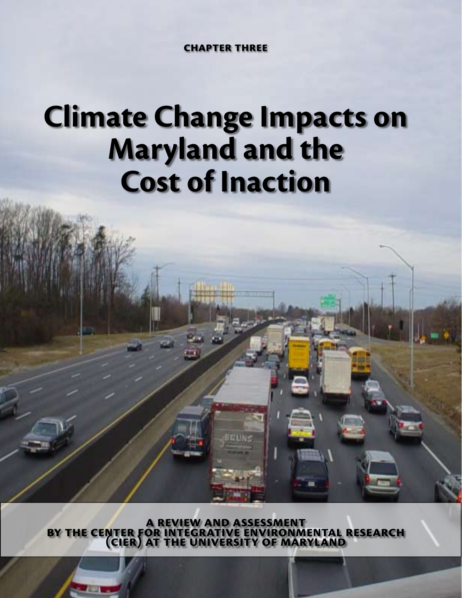**Chapter three**

# **Climate Change Impacts on Maryland and the Cost of Inaction**

**A review and assessment by THE CENTER FOR INTEGRATIVE ENVIRONMENTAL RESEARCH (CIER) AT THE UNIVERSITY OF MARYLAND**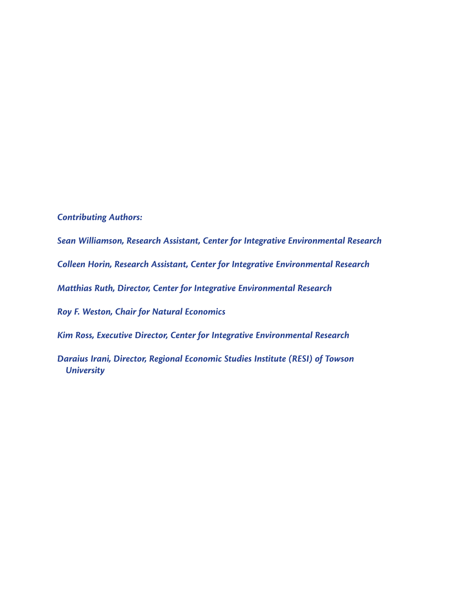*Contributing Authors:* 

*Sean Williamson, Research Assistant, Center for Integrative Environmental Research* 

*Colleen Horin, Research Assistant, Center for Integrative Environmental Research* 

*Matthias Ruth, Director, Center for Integrative Environmental Research* 

*Roy F. Weston, Chair for Natural Economics* 

*Kim Ross, Executive Director, Center for Integrative Environmental Research* 

*Daraius Irani, Director, Regional Economic Studies Institute (RESI) of Towson University*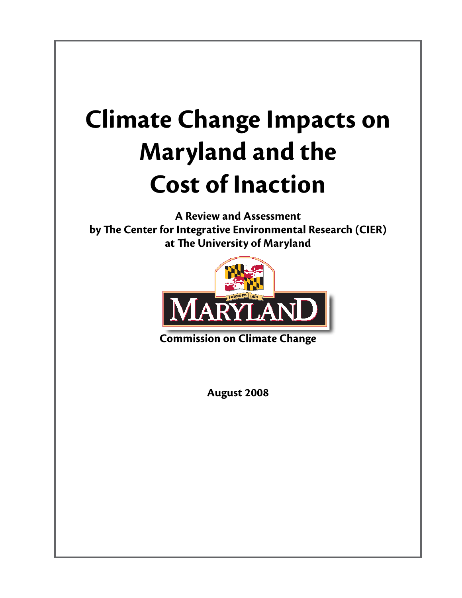# **Climate Change Impacts on Maryland and the Cost of Inaction**

**A Review and Assessment by The Center for Integrative Environmental Research (CIER) at The University of Maryland**



**Commission on Climate Change**

**August 2008**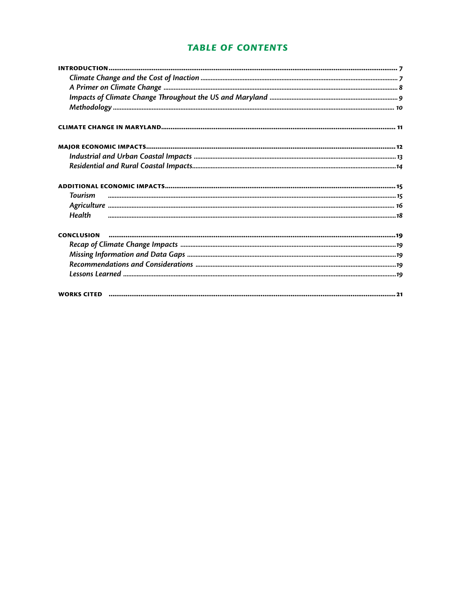### **TABLE OF CONTENTS**

| <b>Tourism</b> |  |
|----------------|--|
|                |  |
| Health         |  |
|                |  |
|                |  |
|                |  |
|                |  |
|                |  |
|                |  |
|                |  |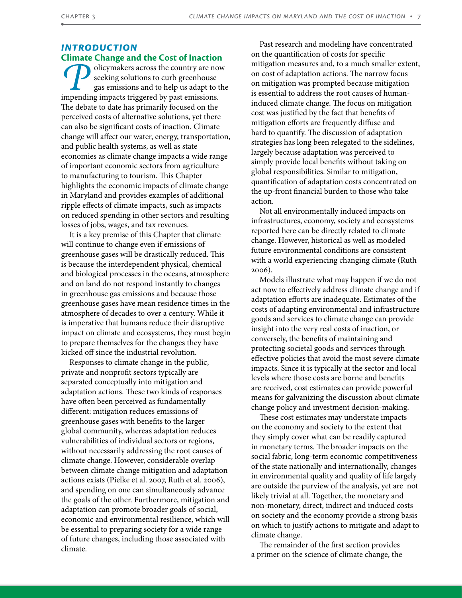#### *Introduction* **Climate Change and the Cost of Inaction**

**P**olicymakers across the country are now seeking solutions to curb greenhouse gas emissions and to help us adapt to the impending impacts triggered by past emissions. seeking solutions to curb greenhouse gas emissions and to help us adapt to the The debate to date has primarily focused on the perceived costs of alternative solutions, yet there can also be significant costs of inaction. Climate change will affect our water, energy, transportation, and public health systems, as well as state economies as climate change impacts a wide range of important economic sectors from agriculture to manufacturing to tourism. This Chapter highlights the economic impacts of climate change in Maryland and provides examples of additional ripple effects of climate impacts, such as impacts on reduced spending in other sectors and resulting losses of jobs, wages, and tax revenues.

It is a key premise of this Chapter that climate will continue to change even if emissions of greenhouse gases will be drastically reduced. This is because the interdependent physical, chemical and biological processes in the oceans, atmosphere and on land do not respond instantly to changes in greenhouse gas emissions and because those greenhouse gases have mean residence times in the atmosphere of decades to over a century. While it is imperative that humans reduce their disruptive impact on climate and ecosystems, they must begin to prepare themselves for the changes they have kicked off since the industrial revolution.

Responses to climate change in the public, private and nonprofit sectors typically are separated conceptually into mitigation and adaptation actions. These two kinds of responses have often been perceived as fundamentally different: mitigation reduces emissions of greenhouse gases with benefits to the larger global community, whereas adaptation reduces vulnerabilities of individual sectors or regions, without necessarily addressing the root causes of climate change. However, considerable overlap between climate change mitigation and adaptation actions exists (Pielke et al. 2007, Ruth et al. 2006), and spending on one can simultaneously advance the goals of the other. Furthermore, mitigation and adaptation can promote broader goals of social, economic and environmental resilience, which will be essential to preparing society for a wide range of future changes, including those associated with climate.

Past research and modeling have concentrated on the quantification of costs for specific mitigation measures and, to a much smaller extent, on cost of adaptation actions. The narrow focus on mitigation was prompted because mitigation is essential to address the root causes of humaninduced climate change. The focus on mitigation cost was justified by the fact that benefits of mitigation efforts are frequently diffuse and hard to quantify. The discussion of adaptation strategies has long been relegated to the sidelines, largely because adaptation was perceived to simply provide local benefits without taking on global responsibilities. Similar to mitigation, quantification of adaptation costs concentrated on the up-front financial burden to those who take action.

Not all environmentally induced impacts on infrastructures, economy, society and ecosystems reported here can be directly related to climate change. However, historical as well as modeled future environmental conditions are consistent with a world experiencing changing climate (Ruth 2006).

Models illustrate what may happen if we do not act now to effectively address climate change and if adaptation efforts are inadequate. Estimates of the costs of adapting environmental and infrastructure goods and services to climate change can provide insight into the very real costs of inaction, or conversely, the benefits of maintaining and protecting societal goods and services through effective policies that avoid the most severe climate impacts. Since it is typically at the sector and local levels where those costs are borne and benefits are received, cost estimates can provide powerful means for galvanizing the discussion about climate change policy and investment decision-making.

These cost estimates may understate impacts on the economy and society to the extent that they simply cover what can be readily captured in monetary terms. The broader impacts on the social fabric, long-term economic competitiveness of the state nationally and internationally, changes in environmental quality and quality of life largely are outside the purview of the analysis, yet are not likely trivial at all. Together, the monetary and non-monetary, direct, indirect and induced costs on society and the economy provide a strong basis on which to justify actions to mitigate and adapt to climate change.

The remainder of the first section provides a primer on the science of climate change, the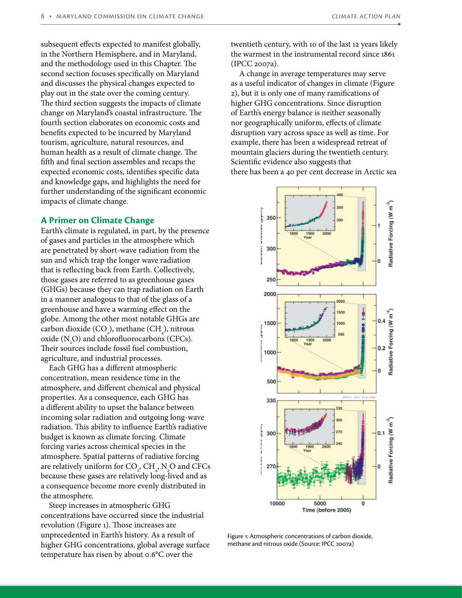subsequent effects expected to manifest globally, in the Northern Hemisphere, and in Maryland, and the methodology used in this Chapter. The second section focuses specifically on Maryland and discusses the physical changes expected to play out in the state over the coming century. The third section suggests the impacts of climate change on Maryland's coastal infrastructure. The fourth section elaborates on economic costs and benefits expected to be incurred by Maryland tourism, agriculture, natural resources, and human health as a result of climate change. The fifth and final section assembles and recaps the expected economic costs, identifies specific data and knowledge gaps, and highlights the need for further understanding of the significant economic impacts of climate change.

#### **A Primer on Climate Change**

Earth's climate is regulated, in part, by the presence of gases and particles in the atmosphere which are penetrated by short-wave radiation from the sun and which trap the longer wave radiation that is reflecting back from Earth. Collectively, those gases are referred to as greenhouse gases (GHGs) because they can trap radiation on Earth in a manner analogous to that of the glass of a greenhouse and have a warming effect on the globe. Among the other most notable GHGs are carbon dioxide  $({\rm CO}_2)$ , methane  $({\rm CH}_4)$ , nitrous oxide  $(N_2O)$  and chlorofluorocarbons (CFCs). Their sources include fossil fuel combustion, agriculture, and industrial processes.

Each GHG has a different atmospheric concentration, mean residence time in the atmosphere, and different chemical and physical properties. As a consequence, each GHG has a different ability to upset the balance between incoming solar radiation and outgoing long-wave radiation. This ability to influence Earth's radiative budget is known as climate forcing. Climate forcing varies across chemical species in the atmosphere. Spatial patterns of radiative forcing are relatively uniform for  $\text{CO}_2$ ,  $\text{CH}_4$ , N<sub>2</sub>O and CFCs because these gases are relatively long-lived and as a consequence become more evenly distributed in the atmosphere.

Steep increases in atmospheric GHG concentrations have occurred since the industrial revolution (Figure 1). Those increases are unprecedented in Earth's history. As a result of higher GHG concentrations, global average surface temperature has risen by about 0.6°C over the

twentieth century, with 10 of the last 12 years likely the warmest in the instrumental record since 1861 (IPCC 2007a).

A change in average temperatures may serve as a useful indicator of changes in climate (Figure 2), but it is only one of many ramifications of higher GHG concentrations. Since disruption of Earth's energy balance is neither seasonally nor geographically uniform, effects of climate disruption vary across space as well as time. For example, there has been a widespread retreat of mountain glaciers during the twentieth century. Scientific evidence also suggests that there has been a 40 per cent decrease in Arctic sea



Figure 1: Atmospheric concentrations of carbon dioxide, methane and nitrous oxide (Source: IPCC 2007a)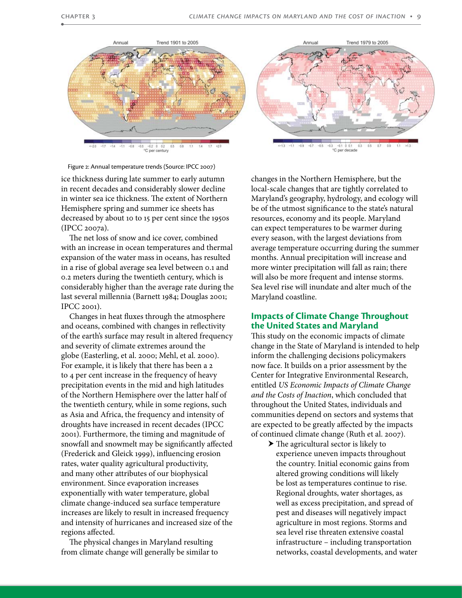



ice thickness during late summer to early autumn in recent decades and considerably slower decline in winter sea ice thickness. The extent of Northern Hemisphere spring and summer ice sheets has decreased by about 10 to 15 per cent since the 1950s (IPCC 2007a).

The net loss of snow and ice cover, combined with an increase in ocean temperatures and thermal expansion of the water mass in oceans, has resulted in a rise of global average sea level between 0.1 and 0.2 meters during the twentieth century, which is considerably higher than the average rate during the last several millennia (Barnett 1984; Douglas 2001; IPCC 2001).

Changes in heat fluxes through the atmosphere and oceans, combined with changes in reflectivity of the earth's surface may result in altered frequency and severity of climate extremes around the globe (Easterling, et al. 2000; Mehl, et al. 2000). For example, it is likely that there has been a 2 to 4 per cent increase in the frequency of heavy precipitation events in the mid and high latitudes of the Northern Hemisphere over the latter half of the twentieth century, while in some regions, such as Asia and Africa, the frequency and intensity of droughts have increased in recent decades (IPCC 2001). Furthermore, the timing and magnitude of snowfall and snowmelt may be significantly affected (Frederick and Gleick 1999), influencing erosion rates, water quality agricultural productivity, and many other attributes of our biophysical environment. Since evaporation increases exponentially with water temperature, global climate change-induced sea surface temperature increases are likely to result in increased frequency and intensity of hurricanes and increased size of the regions affected.

The physical changes in Maryland resulting from climate change will generally be similar to changes in the Northern Hemisphere, but the local-scale changes that are tightly correlated to Maryland's geography, hydrology, and ecology will be of the utmost significance to the state's natural resources, economy and its people. Maryland can expect temperatures to be warmer during every season, with the largest deviations from average temperature occurring during the summer months. Annual precipitation will increase and more winter precipitation will fall as rain; there will also be more frequent and intense storms. Sea level rise will inundate and alter much of the Maryland coastline.

#### **Impacts of Climate Change Throughout the United States and Maryland**

This study on the economic impacts of climate change in the State of Maryland is intended to help inform the challenging decisions policymakers now face. It builds on a prior assessment by the Center for Integrative Environmental Research, entitled *US Economic Impacts of Climate Change and the Costs of Inaction*, which concluded that throughout the United States, individuals and communities depend on sectors and systems that are expected to be greatly affected by the impacts of continued climate change (Ruth et al. 2007).

 $\triangleright$  The agricultural sector is likely to experience uneven impacts throughout the country. Initial economic gains from altered growing conditions will likely be lost as temperatures continue to rise. Regional droughts, water shortages, as well as excess precipitation, and spread of pest and diseases will negatively impact agriculture in most regions. Storms and sea level rise threaten extensive coastal infrastructure – including transportation networks, coastal developments, and water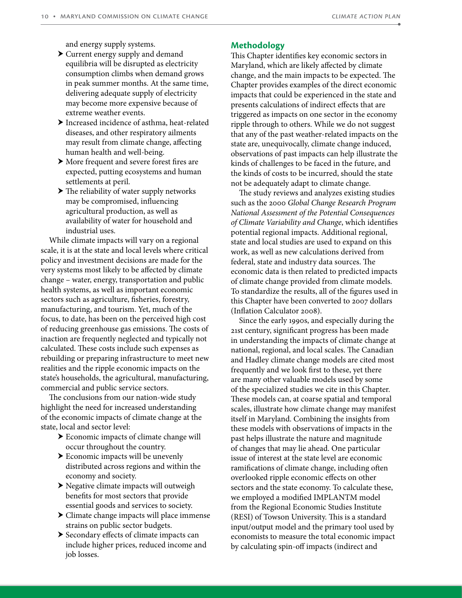and energy supply systems.

- h Current energy supply and demand equilibria will be disrupted as electricity consumption climbs when demand grows in peak summer months. At the same time, delivering adequate supply of electricity may become more expensive because of extreme weather events.
- $\blacktriangleright$  Increased incidence of asthma, heat-related diseases, and other respiratory ailments may result from climate change, affecting human health and well-being.
- $\blacktriangleright$  More frequent and severe forest fires are expected, putting ecosystems and human settlements at peril.
- $\blacktriangleright$  The reliability of water supply networks may be compromised, influencing agricultural production, as well as availability of water for household and industrial uses.

While climate impacts will vary on a regional scale, it is at the state and local levels where critical policy and investment decisions are made for the very systems most likely to be affected by climate change – water, energy, transportation and public health systems, as well as important economic sectors such as agriculture, fisheries, forestry, manufacturing, and tourism. Yet, much of the focus, to date, has been on the perceived high cost of reducing greenhouse gas emissions. The costs of inaction are frequently neglected and typically not calculated. These costs include such expenses as rebuilding or preparing infrastructure to meet new realities and the ripple economic impacts on the state's households, the agricultural, manufacturing, commercial and public service sectors.

The conclusions from our nation-wide study highlight the need for increased understanding of the economic impacts of climate change at the state, local and sector level:

- $\blacktriangleright$  Economic impacts of climate change will occur throughout the country.
- $\blacktriangleright$  Economic impacts will be unevenly distributed across regions and within the economy and society.
- $\blacktriangleright$  Negative climate impacts will outweigh benefits for most sectors that provide essential goods and services to society.
- $\blacktriangleright$  Climate change impacts will place immense strains on public sector budgets.
- $\triangleright$  Secondary effects of climate impacts can include higher prices, reduced income and job losses.

#### **Methodology**

This Chapter identifies key economic sectors in Maryland, which are likely affected by climate change, and the main impacts to be expected. The Chapter provides examples of the direct economic impacts that could be experienced in the state and presents calculations of indirect effects that are triggered as impacts on one sector in the economy ripple through to others. While we do not suggest that any of the past weather-related impacts on the state are, unequivocally, climate change induced, observations of past impacts can help illustrate the kinds of challenges to be faced in the future, and the kinds of costs to be incurred, should the state not be adequately adapt to climate change.

The study reviews and analyzes existing studies such as the 2000 *Global Change Research Program National Assessment of the Potential Consequences of Climate Variability and Change*, which identifies potential regional impacts. Additional regional, state and local studies are used to expand on this work, as well as new calculations derived from federal, state and industry data sources. The economic data is then related to predicted impacts of climate change provided from climate models. To standardize the results, all of the figures used in this Chapter have been converted to 2007 dollars (Inflation Calculator 2008).

Since the early 1990s, and especially during the 21st century, significant progress has been made in understanding the impacts of climate change at national, regional, and local scales. The Canadian and Hadley climate change models are cited most frequently and we look first to these, yet there are many other valuable models used by some of the specialized studies we cite in this Chapter. These models can, at coarse spatial and temporal scales, illustrate how climate change may manifest itself in Maryland. Combining the insights from these models with observations of impacts in the past helps illustrate the nature and magnitude of changes that may lie ahead. One particular issue of interest at the state level are economic ramifications of climate change, including often overlooked ripple economic effects on other sectors and the state economy. To calculate these, we employed a modified IMPLANTM model from the Regional Economic Studies Institute (RESI) of Towson University. This is a standard input/output model and the primary tool used by economists to measure the total economic impact by calculating spin-off impacts (indirect and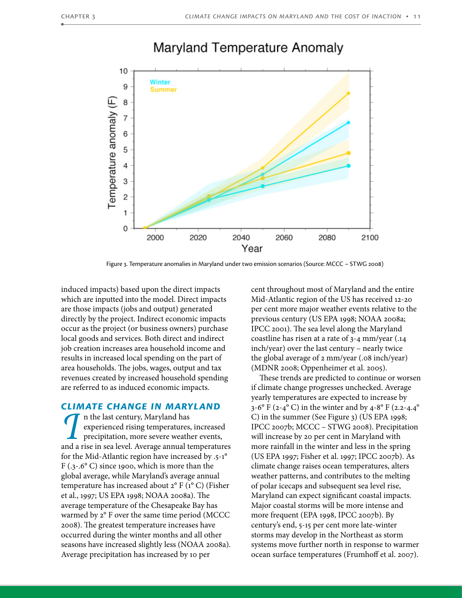## Maryland Temperature Anomaly



Figure 3. Temperature anomalies in Maryland under two emission scenarios (Source: MCCC – STWG 2008)

induced impacts) based upon the direct impacts which are inputted into the model. Direct impacts are those impacts (jobs and output) generated directly by the project. Indirect economic impacts occur as the project (or business owners) purchase local goods and services. Both direct and indirect job creation increases area household income and results in increased local spending on the part of area households. The jobs, wages, output and tax revenues created by increased household spending are referred to as induced economic impacts.

#### *CLIMATE CHANGE IN MARYLAND*

*I* n the last century, Maryland has experienced rising temperatures, precipitation, more severe weath and a rise in sea level. Average annual to experienced rising temperatures, increased precipitation, more severe weather events, and a rise in sea level. Average annual temperatures for the Mid-Atlantic region have increased by .5-1°  $F(.3-.6^{\circ} \text{C})$  since 1900, which is more than the global average, while Maryland's average annual temperature has increased about 2° F (1° C) (Fisher et al., 1997; US EPA 1998; NOAA 2008a). The average temperature of the Chesapeake Bay has warmed by 2° F over the same time period (MCCC 2008). The greatest temperature increases have occurred during the winter months and all other seasons have increased slightly less (NOAA 2008a). Average precipitation has increased by 10 per

cent throughout most of Maryland and the entire Mid-Atlantic region of the US has received 12-20 per cent more major weather events relative to the previous century (US EPA 1998; NOAA 2008a; IPCC 2001). The sea level along the Maryland coastline has risen at a rate of 3-4 mm/year (.14 inch/year) over the last century – nearly twice the global average of 2 mm/year (.08 inch/year) (MDNR 2008; Oppenheimer et al. 2005).

These trends are predicted to continue or worsen if climate change progresses unchecked. Average yearly temperatures are expected to increase by  $3-6^{\circ}$  F (2-4° C) in the winter and by 4-8° F (2.2-4.4° C) in the summer (See Figure 3) (US EPA 1998; IPCC 2007b; MCCC – STWG 2008). Precipitation will increase by 20 per cent in Maryland with more rainfall in the winter and less in the spring (US EPA 1997; Fisher et al. 1997; IPCC 2007b). As climate change raises ocean temperatures, alters weather patterns, and contributes to the melting of polar icecaps and subsequent sea level rise, Maryland can expect significant coastal impacts. Major coastal storms will be more intense and more frequent (EPA 1998, IPCC 2007b). By century's end, 5-15 per cent more late-winter storms may develop in the Northeast as storm systems move further north in response to warmer ocean surface temperatures (Frumhoff et al. 2007).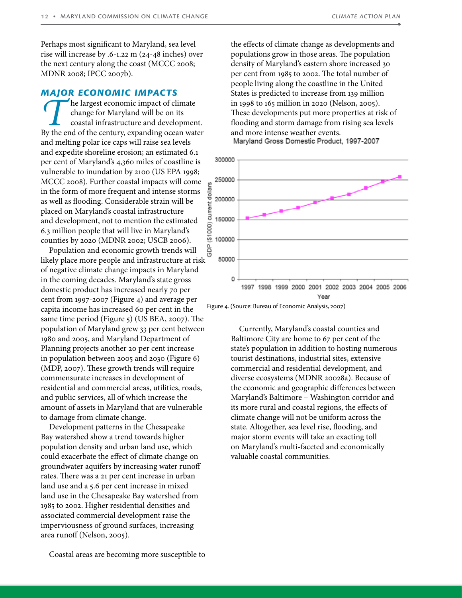Perhaps most significant to Maryland, sea level rise will increase by .6-1.22 m (24-48 inches) over the next century along the coast (MCCC 2008; MDNR 2008; IPCC 2007b).

**MAJOR ECONOMIC IMPACTS**<br>The largest economic impact of climate The largest economic impact of climate<br>
change for Maryland will be on its<br>
By the end of the century, expanding ocean water change for Maryland will be on its coastal infrastructure and development. and melting polar ice caps will raise sea levels and expedite shoreline erosion; an estimated 6.1 per cent of Maryland's 4,360 miles of coastline is vulnerable to inundation by 2100 (US EPA 1998; MCCC 2008). Further coastal impacts will come in the form of more frequent and intense storms as well as flooding. Considerable strain will be placed on Maryland's coastal infrastructure and development, not to mention the estimated 6.3 million people that will live in Maryland's counties by 2020 (MDNR 2002; USCB 2006).

Population and economic growth trends will Population and economic growth trends will<br>likely place more people and infrastructure at risk of negative climate change impacts in Maryland in the coming decades. Maryland's state gross domestic product has increased nearly 70 per cent from 1997-2007 (Figure 4) and average per capita income has increased 60 per cent in the same time period (Figure 5) (US BEA, 2007). The population of Maryland grew 33 per cent between 1980 and 2005, and Maryland Department of Planning projects another 20 per cent increase in population between 2005 and 2030 (Figure 6) (MDP, 2007). These growth trends will require commensurate increases in development of residential and commercial areas, utilities, roads, and public services, all of which increase the amount of assets in Maryland that are vulnerable to damage from climate change.

Development patterns in the Chesapeake Bay watershed show a trend towards higher population density and urban land use, which could exacerbate the effect of climate change on groundwater aquifers by increasing water runoff rates. There was a 21 per cent increase in urban land use and a 5.6 per cent increase in mixed land use in the Chesapeake Bay watershed from 1985 to 2002. Higher residential densities and associated commercial development raise the imperviousness of ground surfaces, increasing area runoff (Nelson, 2005).

the effects of climate change as developments and populations grow in those areas. The population density of Maryland's eastern shore increased 30 per cent from 1985 to 2002. The total number of people living along the coastline in the United States is predicted to increase from 139 million in 1998 to 165 million in 2020 (Nelson, 2005). These developments put more properties at risk of flooding and storm damage from rising sea levels and more intense weather events.<br>Maryland Gross Domestic Product, 1997-2007



Figure 4. (Source: Bureau of Economic Analysis, 2007)

Currently, Maryland's coastal counties and Baltimore City are home to 67 per cent of the state's population in addition to hosting numerous tourist destinations, industrial sites, extensive commercial and residential development, and diverse ecosystems (MDNR 20028a). Because of the economic and geographic differences between Maryland's Baltimore – Washington corridor and its more rural and coastal regions, the effects of climate change will not be uniform across the state. Altogether, sea level rise, flooding, and major storm events will take an exacting toll on Maryland's multi-faceted and economically valuable coastal communities.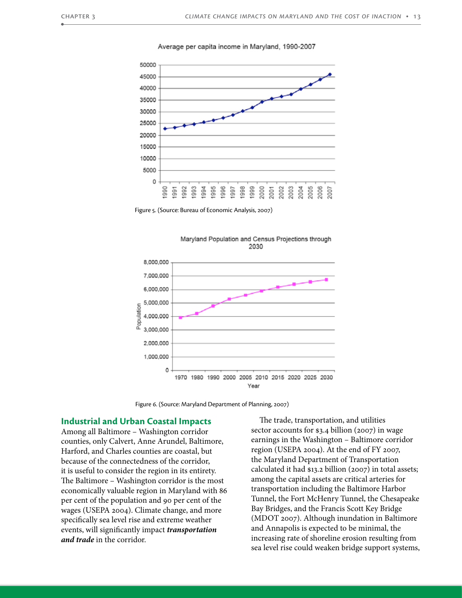



Figure 5. (Source: Bureau of Economic Analysis, 2007)

Maryland Population and Census Projections through 2030



Figure 6. (Source: Maryland Department of Planning, 2007)

#### **Industrial and Urban Coastal Impacts**

Among all Baltimore – Washington corridor counties, only Calvert, Anne Arundel, Baltimore, Harford, and Charles counties are coastal, but because of the connectedness of the corridor, it is useful to consider the region in its entirety. The Baltimore – Washington corridor is the most economically valuable region in Maryland with 86 per cent of the population and 90 per cent of the wages (USEPA 2004). Climate change, and more specifically sea level rise and extreme weather events, will significantly impact *transportation and trade* in the corridor.

The trade, transportation, and utilities sector accounts for \$3.4 billion (2007) in wage earnings in the Washington – Baltimore corridor region (USEPA 2004). At the end of FY 2007, the Maryland Department of Transportation calculated it had \$13.2 billion (2007) in total assets; among the capital assets are critical arteries for transportation including the Baltimore Harbor Tunnel, the Fort McHenry Tunnel, the Chesapeake Bay Bridges, and the Francis Scott Key Bridge (MDOT 2007). Although inundation in Baltimore and Annapolis is expected to be minimal, the increasing rate of shoreline erosion resulting from sea level rise could weaken bridge support systems,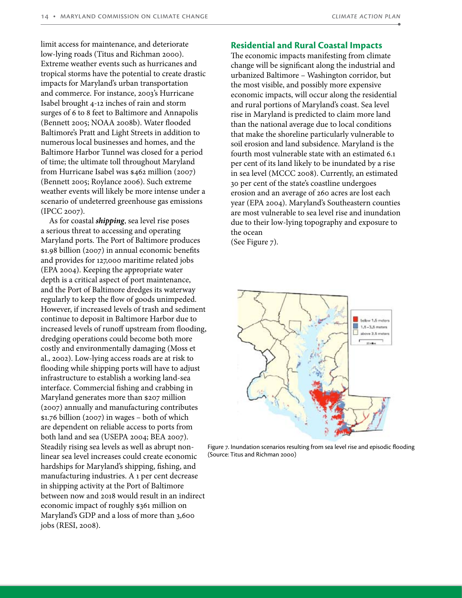limit access for maintenance, and deteriorate low-lying roads (Titus and Richman 2000). Extreme weather events such as hurricanes and tropical storms have the potential to create drastic impacts for Maryland's urban transportation and commerce. For instance, 2003's Hurricane Isabel brought 4-12 inches of rain and storm surges of 6 to 8 feet to Baltimore and Annapolis (Bennett 2005; NOAA 2008b). Water flooded Baltimore's Pratt and Light Streets in addition to numerous local businesses and homes, and the Baltimore Harbor Tunnel was closed for a period of time; the ultimate toll throughout Maryland from Hurricane Isabel was \$462 million (2007) (Bennett 2005; Roylance 2006). Such extreme weather events will likely be more intense under a scenario of undeterred greenhouse gas emissions (IPCC 2007).

As for coastal *shipping*, sea level rise poses a serious threat to accessing and operating Maryland ports. The Port of Baltimore produces \$1.98 billion (2007) in annual economic benefits and provides for 127,000 maritime related jobs (EPA 2004). Keeping the appropriate water depth is a critical aspect of port maintenance, and the Port of Baltimore dredges its waterway regularly to keep the flow of goods unimpeded. However, if increased levels of trash and sediment continue to deposit in Baltimore Harbor due to increased levels of runoff upstream from flooding, dredging operations could become both more costly and environmentally damaging (Moss et al., 2002). Low-lying access roads are at risk to flooding while shipping ports will have to adjust infrastructure to establish a working land-sea interface. Commercial fishing and crabbing in Maryland generates more than \$207 million (2007) annually and manufacturing contributes \$1.76 billion (2007) in wages – both of which are dependent on reliable access to ports from both land and sea (USEPA 2004; BEA 2007). Steadily rising sea levels as well as abrupt nonlinear sea level increases could create economic hardships for Maryland's shipping, fishing, and manufacturing industries. A 1 per cent decrease in shipping activity at the Port of Baltimore between now and 2018 would result in an indirect economic impact of roughly \$361 million on Maryland's GDP and a loss of more than 3,600 jobs (RESI, 2008).

#### **Residential and Rural Coastal Impacts**

The economic impacts manifesting from climate change will be significant along the industrial and urbanized Baltimore – Washington corridor, but the most visible, and possibly more expensive economic impacts, will occur along the residential and rural portions of Maryland's coast. Sea level rise in Maryland is predicted to claim more land than the national average due to local conditions that make the shoreline particularly vulnerable to soil erosion and land subsidence. Maryland is the fourth most vulnerable state with an estimated 6.1 per cent of its land likely to be inundated by a rise in sea level (MCCC 2008). Currently, an estimated 30 per cent of the state's coastline undergoes erosion and an average of 260 acres are lost each year (EPA 2004). Maryland's Southeastern counties are most vulnerable to sea level rise and inundation due to their low-lying topography and exposure to the ocean

(See Figure 7).



Figure 7. Inundation scenarios resulting from sea level rise and episodic flooding (Source: Titus and Richman 2000)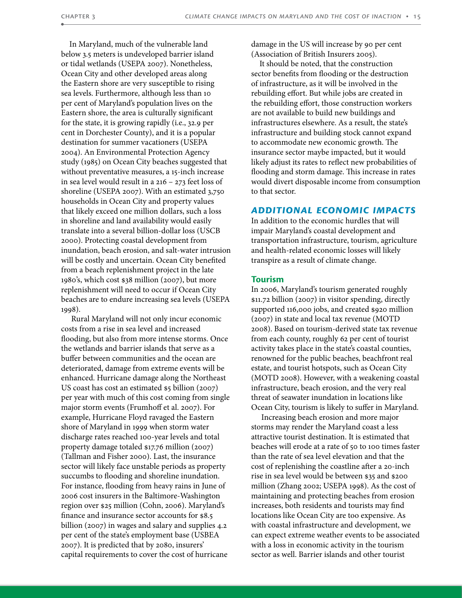In Maryland, much of the vulnerable land below 3.5 meters is undeveloped barrier island or tidal wetlands (USEPA 2007). Nonetheless, Ocean City and other developed areas along the Eastern shore are very susceptible to rising sea levels. Furthermore, although less than 10 per cent of Maryland's population lives on the Eastern shore, the area is culturally significant for the state, it is growing rapidly (i.e., 32.9 per cent in Dorchester County), and it is a popular destination for summer vacationers (USEPA 2004). An Environmental Protection Agency study (1985) on Ocean City beaches suggested that without preventative measures, a 15-inch increase in sea level would result in a 216 – 273 feet loss of shoreline (USEPA 2007). With an estimated 3,750 households in Ocean City and property values that likely exceed one million dollars, such a loss in shoreline and land availability would easily translate into a several billion-dollar loss (USCB 2000). Protecting coastal development from inundation, beach erosion, and salt-water intrusion will be costly and uncertain. Ocean City benefited from a beach replenishment project in the late 1980's, which cost \$38 million (2007), but more replenishment will need to occur if Ocean City beaches are to endure increasing sea levels (USEPA 1998).

 Rural Maryland will not only incur economic costs from a rise in sea level and increased flooding, but also from more intense storms. Once the wetlands and barrier islands that serve as a buffer between communities and the ocean are deteriorated, damage from extreme events will be enhanced. Hurricane damage along the Northeast US coast has cost an estimated \$5 billion (2007) per year with much of this cost coming from single major storm events (Frumhoff et al. 2007). For example, Hurricane Floyd ravaged the Eastern shore of Maryland in 1999 when storm water discharge rates reached 100-year levels and total property damage totaled \$17.76 million (2007) (Tallman and Fisher 2000). Last, the insurance sector will likely face unstable periods as property succumbs to flooding and shoreline inundation. For instance, flooding from heavy rains in June of 2006 cost insurers in the Baltimore-Washington region over \$25 million (Cohn, 2006). Maryland's finance and insurance sector accounts for \$8.5 billion (2007) in wages and salary and supplies 4.2 per cent of the state's employment base (USBEA 2007). It is predicted that by 2080, insurers' capital requirements to cover the cost of hurricane

damage in the US will increase by 90 per cent (Association of British Insurers 2005).

It should be noted, that the construction sector benefits from flooding or the destruction of infrastructure, as it will be involved in the rebuilding effort. But while jobs are created in the rebuilding effort, those construction workers are not available to build new buildings and infrastructures elsewhere. As a result, the state's infrastructure and building stock cannot expand to accommodate new economic growth. The insurance sector maybe impacted, but it would likely adjust its rates to reflect new probabilities of flooding and storm damage. This increase in rates would divert disposable income from consumption to that sector.

#### *ADDITIONAL ECONOMIC IMPACTS*

In addition to the economic hurdles that will impair Maryland's coastal development and transportation infrastructure, tourism, agriculture and health-related economic losses will likely transpire as a result of climate change.

#### **Tourism**

In 2006, Maryland's tourism generated roughly \$11.72 billion (2007) in visitor spending, directly supported 116,000 jobs, and created \$920 million (2007) in state and local tax revenue (MOTD 2008). Based on tourism-derived state tax revenue from each county, roughly 62 per cent of tourist activity takes place in the state's coastal counties, renowned for the public beaches, beachfront real estate, and tourist hotspots, such as Ocean City (MOTD 2008). However, with a weakening coastal infrastructure, beach erosion, and the very real threat of seawater inundation in locations like Ocean City, tourism is likely to suffer in Maryland.

 Increasing beach erosion and more major storms may render the Maryland coast a less attractive tourist destination. It is estimated that beaches will erode at a rate of 50 to 100 times faster than the rate of sea level elevation and that the cost of replenishing the coastline after a 20-inch rise in sea level would be between \$35 and \$200 million (Zhang 2002; USEPA 1998). As the cost of maintaining and protecting beaches from erosion increases, both residents and tourists may find locations like Ocean City are too expensive. As with coastal infrastructure and development, we can expect extreme weather events to be associated with a loss in economic activity in the tourism sector as well. Barrier islands and other tourist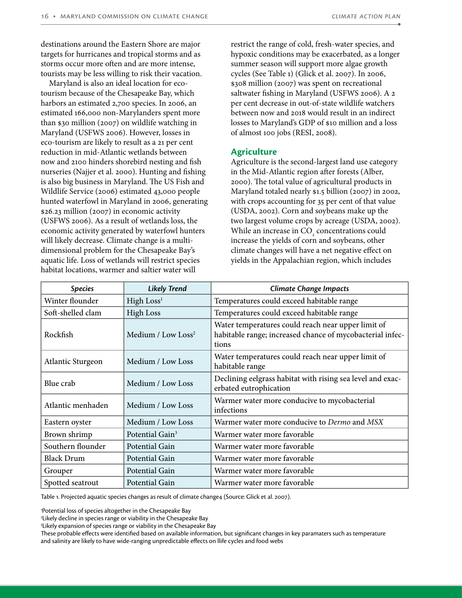destinations around the Eastern Shore are major targets for hurricanes and tropical storms and as storms occur more often and are more intense, tourists may be less willing to risk their vacation.

Maryland is also an ideal location for ecotourism because of the Chesapeake Bay, which harbors an estimated 2,700 species. In 2006, an estimated 166,000 non-Marylanders spent more than \$30 million (2007) on wildlife watching in Maryland (USFWS 2006). However, losses in eco-tourism are likely to result as a 21 per cent reduction in mid-Atlantic wetlands between now and 2100 hinders shorebird nesting and fish nurseries (Najjer et al. 2000). Hunting and fishing is also big business in Maryland. The US Fish and Wildlife Service (2006) estimated 43,000 people hunted waterfowl in Maryland in 2006, generating \$26.23 million (2007) in economic activity (USFWS 2006). As a result of wetlands loss, the economic activity generated by waterfowl hunters will likely decrease. Climate change is a multidimensional problem for the Chesapeake Bay's aquatic life. Loss of wetlands will restrict species habitat locations, warmer and saltier water will

restrict the range of cold, fresh-water species, and hypoxic conditions may be exacerbated, as a longer summer season will support more algae growth cycles (See Table 1) (Glick et al. 2007). In 2006, \$308 million (2007) was spent on recreational saltwater fishing in Maryland (USFWS 2006). A 2 per cent decrease in out-of-state wildlife watchers between now and 2018 would result in an indirect losses to Maryland's GDP of \$10 million and a loss of almost 100 jobs (RESI, 2008).

#### **Agriculture**

Agriculture is the second-largest land use category in the Mid-Atlantic region after forests (Alber, 2000). The total value of agricultural products in Maryland totaled nearly \$1.5 billion (2007) in 2002, with crops accounting for 35 per cent of that value (USDA, 2002). Corn and soybeans make up the two largest volume crops by acreage (USDA, 2002). While an increase in  $\mathrm{CO}_2$  concentrations could increase the yields of corn and soybeans, other climate changes will have a net negative effect on yields in the Appalachian region, which includes

| <b>Species</b>           | <b>Likely Trend</b>         | <b>Climate Change Impacts</b>                                                                                            |
|--------------------------|-----------------------------|--------------------------------------------------------------------------------------------------------------------------|
| Winter flounder          | High Loss <sup>1</sup>      | Temperatures could exceed habitable range                                                                                |
| Soft-shelled clam        | <b>High Loss</b>            | Temperatures could exceed habitable range                                                                                |
| Rockfish                 | Medium / $Low Loss2$        | Water temperatures could reach near upper limit of<br>habitable range; increased chance of mycobacterial infec-<br>tions |
| <b>Atlantic Sturgeon</b> | Medium / Low Loss           | Water temperatures could reach near upper limit of<br>habitable range                                                    |
| Blue crab                | Medium / Low Loss           | Declining eelgrass habitat with rising sea level and exac-<br>erbated eutrophication                                     |
| Atlantic menhaden        | Medium / Low Loss           | Warmer water more conducive to mycobacterial<br>infections                                                               |
| Eastern oyster           | Medium / Low Loss           | Warmer water more conducive to Dermo and MSX                                                                             |
| Brown shrimp             | Potential Gain <sup>3</sup> | Warmer water more favorable                                                                                              |
| Southern flounder        | Potential Gain              | Warmer water more favorable                                                                                              |
| <b>Black Drum</b>        | <b>Potential Gain</b>       | Warmer water more favorable                                                                                              |
| Grouper                  | <b>Potential Gain</b>       | Warmer water more favorable                                                                                              |
| Spotted seatrout         | <b>Potential Gain</b>       | Warmer water more favorable                                                                                              |

Table 1. Projected aquatic species changes as result of climate change4 (Source: Glick et al. 2007).

1 Potential loss of species altogether in the Chesapeake Bay

2 Likely decline in species range or viability in the Chesapeake Bay

3 Likely expansion of species range or viability in the Chesapeake Bay

These probable effects were identified based on available information, but significant changes in key paramaters such as temperature and salinity are likely to have wide-ranging unpredictable effects on llife cycles and food webs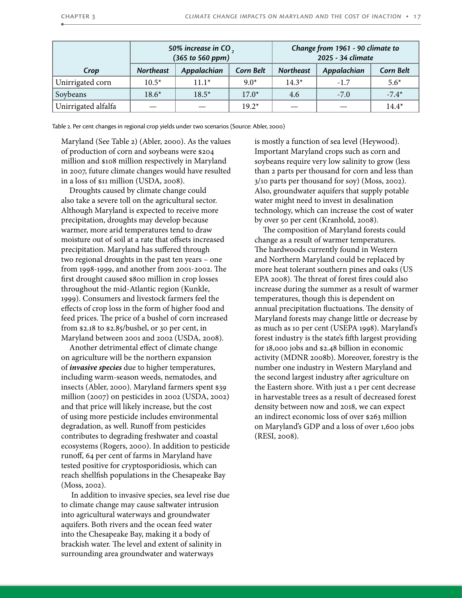|                     | 50% increase in CO,<br>(365 to 560 ppm) |             |           | Change from 1961 - 90 climate to<br>2025 - 34 climate |             |           |
|---------------------|-----------------------------------------|-------------|-----------|-------------------------------------------------------|-------------|-----------|
| Crop                | <b>Northeast</b>                        | Appalachian | Corn Belt | <b>Northeast</b>                                      | Appalachian | Corn Belt |
| Unirrigated corn    | $10.5*$                                 | $11.1*$     | $9.0*$    | $14.3*$                                               | $-1.7$      | $5.6*$    |
| Soybeans            | $18.6*$                                 | $18.5*$     | $17.0*$   | 4.6                                                   | $-7.0$      | $-7.4*$   |
| Unirrigated alfalfa |                                         |             | $19.2*$   |                                                       |             | $14.4*$   |

Table 2. Per cent changes in regional crop yields under two scenarios (Source: Abler, 2000)

Maryland (See Table 2) (Abler, 2000). As the values of production of corn and soybeans were \$204 million and \$108 million respectively in Maryland in 2007, future climate changes would have resulted in a loss of \$11 million (USDA, 2008).

Droughts caused by climate change could also take a severe toll on the agricultural sector. Although Maryland is expected to receive more precipitation, droughts may develop because warmer, more arid temperatures tend to draw moisture out of soil at a rate that offsets increased precipitation. Maryland has suffered through two regional droughts in the past ten years – one from 1998-1999, and another from 2001-2002. The first drought caused \$800 million in crop losses throughout the mid-Atlantic region (Kunkle, 1999). Consumers and livestock farmers feel the effects of crop loss in the form of higher food and feed prices. The price of a bushel of corn increased from \$2.18 to \$2.85/bushel, or 30 per cent, in Maryland between 2001 and 2002 (USDA, 2008).

Another detrimental effect of climate change on agriculture will be the northern expansion of *invasive species* due to higher temperatures, including warm-season weeds, nematodes, and insects (Abler, 2000). Maryland farmers spent \$39 million (2007) on pesticides in 2002 (USDA, 2002) and that price will likely increase, but the cost of using more pesticide includes environmental degradation, as well. Runoff from pesticides contributes to degrading freshwater and coastal ecosystems (Rogers, 2000). In addition to pesticide runoff, 64 per cent of farms in Maryland have tested positive for cryptosporidiosis, which can reach shellfish populations in the Chesapeake Bay (Moss, 2002).

 In addition to invasive species, sea level rise due to climate change may cause saltwater intrusion into agricultural waterways and groundwater aquifers. Both rivers and the ocean feed water into the Chesapeake Bay, making it a body of brackish water. The level and extent of salinity in surrounding area groundwater and waterways

is mostly a function of sea level (Heywood). Important Maryland crops such as corn and soybeans require very low salinity to grow (less than 2 parts per thousand for corn and less than 3/10 parts per thousand for soy) (Moss, 2002). Also, groundwater aquifers that supply potable water might need to invest in desalination technology, which can increase the cost of water by over 50 per cent (Kranhold, 2008).

The composition of Maryland forests could change as a result of warmer temperatures. The hardwoods currently found in Western and Northern Maryland could be replaced by more heat tolerant southern pines and oaks (US EPA 2008). The threat of forest fires could also increase during the summer as a result of warmer temperatures, though this is dependent on annual precipitation fluctuations. The density of Maryland forests may change little or decrease by as much as 10 per cent (USEPA 1998). Maryland's forest industry is the state's fifth largest providing for 18,000 jobs and \$2.48 billion in economic activity (MDNR 2008b). Moreover, forestry is the number one industry in Western Maryland and the second largest industry after agriculture on the Eastern shore. With just a 1 per cent decrease in harvestable trees as a result of decreased forest density between now and 2018, we can expect an indirect economic loss of over \$263 million on Maryland's GDP and a loss of over 1,600 jobs (RESI, 2008).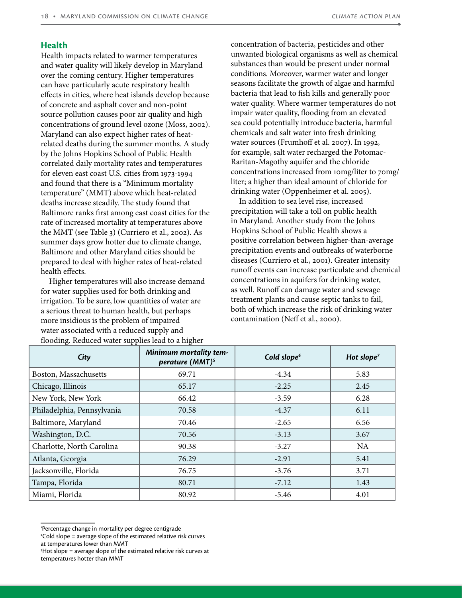#### **Health**

Health impacts related to warmer temperatures and water quality will likely develop in Maryland over the coming century. Higher temperatures can have particularly acute respiratory health effects in cities, where heat islands develop because of concrete and asphalt cover and non-point source pollution causes poor air quality and high concentrations of ground level ozone (Moss, 2002). Maryland can also expect higher rates of heatrelated deaths during the summer months. A study by the Johns Hopkins School of Public Health correlated daily mortality rates and temperatures for eleven east coast U.S. cities from 1973-1994 and found that there is a "Minimum mortality temperature" (MMT) above which heat-related deaths increase steadily. The study found that Baltimore ranks first among east coast cities for the rate of increased mortality at temperatures above the MMT (see Table 3) (Curriero et al., 2002). As summer days grow hotter due to climate change, Baltimore and other Maryland cities should be prepared to deal with higher rates of heat-related health effects.

Higher temperatures will also increase demand for water supplies used for both drinking and irrigation. To be sure, low quantities of water are a serious threat to human health, but perhaps more insidious is the problem of impaired water associated with a reduced supply and flooding. Reduced water supplies lead to a higher

concentration of bacteria, pesticides and other unwanted biological organisms as well as chemical substances than would be present under normal conditions. Moreover, warmer water and longer seasons facilitate the growth of algae and harmful bacteria that lead to fish kills and generally poor water quality. Where warmer temperatures do not impair water quality, flooding from an elevated sea could potentially introduce bacteria, harmful chemicals and salt water into fresh drinking water sources (Frumhoff et al. 2007). In 1992, for example, salt water recharged the Potomac-Raritan-Magothy aquifer and the chloride concentrations increased from 10mg/liter to 70mg/ liter; a higher than ideal amount of chloride for drinking water (Oppenheimer et al. 2005).

In addition to sea level rise, increased precipitation will take a toll on public health in Maryland. Another study from the Johns Hopkins School of Public Health shows a positive correlation between higher-than-average precipitation events and outbreaks of waterborne diseases (Curriero et al., 2001). Greater intensity runoff events can increase particulate and chemical concentrations in aquifers for drinking water, as well. Runoff can damage water and sewage treatment plants and cause septic tanks to fail, both of which increase the risk of drinking water contamination (Neff et al., 2000).

| City                       | <b>Minimum mortality tem-</b><br>perature (MMT) <sup>5</sup> | Cold slope <sup>6</sup> | Hot slope <sup>7</sup> |
|----------------------------|--------------------------------------------------------------|-------------------------|------------------------|
| Boston, Massachusetts      | 69.71                                                        | $-4.34$                 | 5.83                   |
| Chicago, Illinois          | 65.17                                                        | $-2.25$                 | 2.45                   |
| New York, New York         | 66.42                                                        | $-3.59$                 | 6.28                   |
| Philadelphia, Pennsylvania | 70.58                                                        | $-4.37$                 | 6.11                   |
| Baltimore, Maryland        | 70.46                                                        | $-2.65$                 | 6.56                   |
| Washington, D.C.           | 70.56                                                        | $-3.13$                 | 3.67                   |
| Charlotte, North Carolina  | 90.38                                                        | $-3.27$                 | <b>NA</b>              |
| Atlanta, Georgia           | 76.29                                                        | $-2.91$                 | 5.41                   |
| Jacksonville, Florida      | 76.75                                                        | $-3.76$                 | 3.71                   |
| Tampa, Florida             | 80.71                                                        | $-7.12$                 | 1.43                   |
| Miami, Florida             | 80.92                                                        | $-5.46$                 | 4.01                   |

<sup>1</sup> Percentage change in mortality per degree centigrade

at temperatures lower than MMT

<sup>2</sup> Cold slope = average slope of the estimated relative risk curves

<sup>3</sup> Hot slope = average slope of the estimated relative risk curves at temperatures hotter than MMT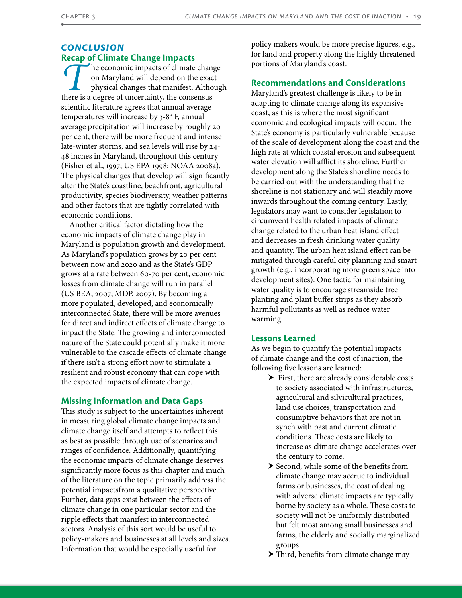#### *CONCLUSION*  **Recap of Climate Change Impacts**

The economic impacts of climate change on Maryland will depend on the exact physical changes that manifest. Althoug there is a degree of uncertainty, the consensus on Maryland will depend on the exact physical changes that manifest. Although scientific literature agrees that annual average temperatures will increase by 3-8° F, annual average precipitation will increase by roughly 20 per cent, there will be more frequent and intense late-winter storms, and sea levels will rise by 24- 48 inches in Maryland, throughout this century (Fisher et al., 1997; US EPA 1998; NOAA 2008a). The physical changes that develop will significantly alter the State's coastline, beachfront, agricultural productivity, species biodiversity, weather patterns and other factors that are tightly correlated with economic conditions.

Another critical factor dictating how the economic impacts of climate change play in Maryland is population growth and development. As Maryland's population grows by 20 per cent between now and 2020 and as the State's GDP grows at a rate between 60-70 per cent, economic losses from climate change will run in parallel (US BEA, 2007; MDP, 2007). By becoming a more populated, developed, and economically interconnected State, there will be more avenues for direct and indirect effects of climate change to impact the State. The growing and interconnected nature of the State could potentially make it more vulnerable to the cascade effects of climate change if there isn't a strong effort now to stimulate a resilient and robust economy that can cope with the expected impacts of climate change.

#### **Missing Information and Data Gaps**

This study is subject to the uncertainties inherent in measuring global climate change impacts and climate change itself and attempts to reflect this as best as possible through use of scenarios and ranges of confidence. Additionally, quantifying the economic impacts of climate change deserves significantly more focus as this chapter and much of the literature on the topic primarily address the potential impactsfrom a qualitative perspective. Further, data gaps exist between the effects of climate change in one particular sector and the ripple effects that manifest in interconnected sectors. Analysis of this sort would be useful to policy-makers and businesses at all levels and sizes. Information that would be especially useful for

policy makers would be more precise figures, e.g., for land and property along the highly threatened portions of Maryland's coast.

#### **Recommendations and Considerations**

Maryland's greatest challenge is likely to be in adapting to climate change along its expansive coast, as this is where the most significant economic and ecological impacts will occur. The State's economy is particularly vulnerable because of the scale of development along the coast and the high rate at which coastal erosion and subsequent water elevation will afflict its shoreline. Further development along the State's shoreline needs to be carried out with the understanding that the shoreline is not stationary and will steadily move inwards throughout the coming century. Lastly, legislators may want to consider legislation to circumvent health related impacts of climate change related to the urban heat island effect and decreases in fresh drinking water quality and quantity. The urban heat island effect can be mitigated through careful city planning and smart growth (e.g., incorporating more green space into development sites). One tactic for maintaining water quality is to encourage streamside tree planting and plant buffer strips as they absorb harmful pollutants as well as reduce water warming.

#### **Lessons Learned**

As we begin to quantify the potential impacts of climate change and the cost of inaction, the following five lessons are learned:

- $\blacktriangleright$  First, there are already considerable costs to society associated with infrastructures, agricultural and silvicultural practices, land use choices, transportation and consumptive behaviors that are not in synch with past and current climatic conditions. These costs are likely to increase as climate change accelerates over the century to come.
- $\blacktriangleright$  Second, while some of the benefits from climate change may accrue to individual farms or businesses, the cost of dealing with adverse climate impacts are typically borne by society as a whole. These costs to society will not be uniformly distributed but felt most among small businesses and farms, the elderly and socially marginalized groups.
- $\blacktriangleright$  Third, benefits from climate change may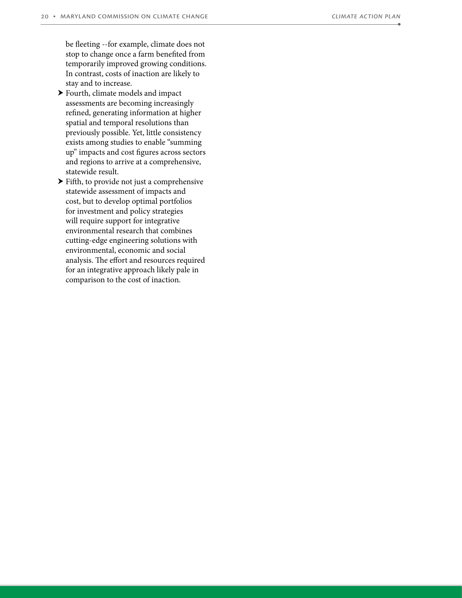be fleeting --for example, climate does not stop to change once a farm benefited from temporarily improved growing conditions. In contrast, costs of inaction are likely to stay and to increase.

- $\blacktriangleright$  Fourth, climate models and impact assessments are becoming increasingly refined, generating information at higher spatial and temporal resolutions than previously possible. Yet, little consistency exists among studies to enable "summing up" impacts and cost figures across sectors and regions to arrive at a comprehensive, statewide result.
- $\blacktriangleright$  Fifth, to provide not just a comprehensive statewide assessment of impacts and cost, but to develop optimal portfolios for investment and policy strategies will require support for integrative environmental research that combines cutting-edge engineering solutions with environmental, economic and social analysis. The effort and resources required for an integrative approach likely pale in comparison to the cost of inaction.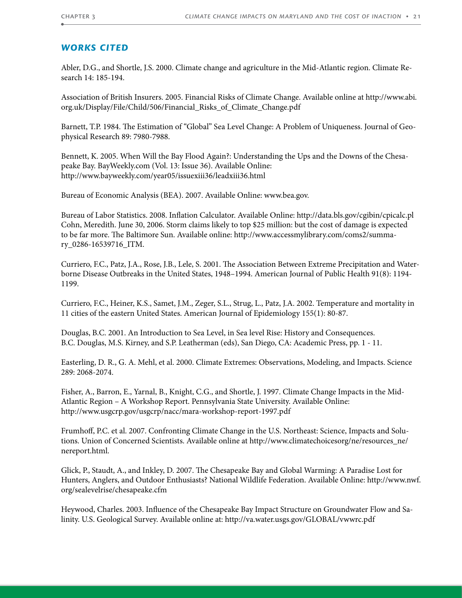### *WORKS CITED*

Abler, D.G., and Shortle, J.S. 2000. Climate change and agriculture in the Mid-Atlantic region. Climate Research 14: 185-194.

Association of British Insurers. 2005. Financial Risks of Climate Change. Available online at http://www.abi. org.uk/Display/File/Child/506/Financial\_Risks\_of\_Climate\_Change.pdf

Barnett, T.P. 1984. The Estimation of "Global" Sea Level Change: A Problem of Uniqueness. Journal of Geophysical Research 89: 7980-7988.

Bennett, K. 2005. When Will the Bay Flood Again?: Understanding the Ups and the Downs of the Chesapeake Bay. BayWeekly.com (Vol. 13: Issue 36). Available Online: http://www.bayweekly.com/year05/issuexiii36/leadxiii36.html

Bureau of Economic Analysis (BEA). 2007. Available Online: www.bea.gov.

Bureau of Labor Statistics. 2008. Inflation Calculator. Available Online: http://data.bls.gov/cgibin/cpicalc.pl Cohn, Meredith. June 30, 2006. Storm claims likely to top \$25 million: but the cost of damage is expected to be far more. The Baltimore Sun. Available online: http://www.accessmylibrary.com/coms2/summary\_0286-16539716\_ITM.

Curriero, F.C., Patz, J.A., Rose, J.B., Lele, S. 2001. The Association Between Extreme Precipitation and Waterborne Disease Outbreaks in the United States, 1948–1994. American Journal of Public Health 91(8): 1194- 1199.

Curriero, F.C., Heiner, K.S., Samet, J.M., Zeger, S.L., Strug, L., Patz, J.A. 2002. Temperature and mortality in 11 cities of the eastern United States. American Journal of Epidemiology 155(1): 80-87.

Douglas, B.C. 2001. An Introduction to Sea Level, in Sea level Rise: History and Consequences. B.C. Douglas, M.S. Kirney, and S.P. Leatherman (eds), San Diego, CA: Academic Press, pp. 1 - 11.

Easterling, D. R., G. A. Mehl, et al. 2000. Climate Extremes: Observations, Modeling, and Impacts. Science 289: 2068-2074.

Fisher, A., Barron, E., Yarnal, B., Knight, C.G., and Shortle, J. 1997. Climate Change Impacts in the Mid-Atlantic Region – A Workshop Report. Pennsylvania State University. Available Online: http://www.usgcrp.gov/usgcrp/nacc/mara-workshop-report-1997.pdf

Frumhoff, P.C. et al. 2007. Confronting Climate Change in the U.S. Northeast: Science, Impacts and Solutions. Union of Concerned Scientists. Available online at http://www.climatechoicesorg/ne/resources\_ne/ nereport.html.

Glick, P., Staudt, A., and Inkley, D. 2007. The Chesapeake Bay and Global Warming: A Paradise Lost for Hunters, Anglers, and Outdoor Enthusiasts? National Wildlife Federation. Available Online: http://www.nwf. org/sealevelrise/chesapeake.cfm

Heywood, Charles. 2003. Influence of the Chesapeake Bay Impact Structure on Groundwater Flow and Salinity. U.S. Geological Survey. Available online at: http://va.water.usgs.gov/GLOBAL/vwwrc.pdf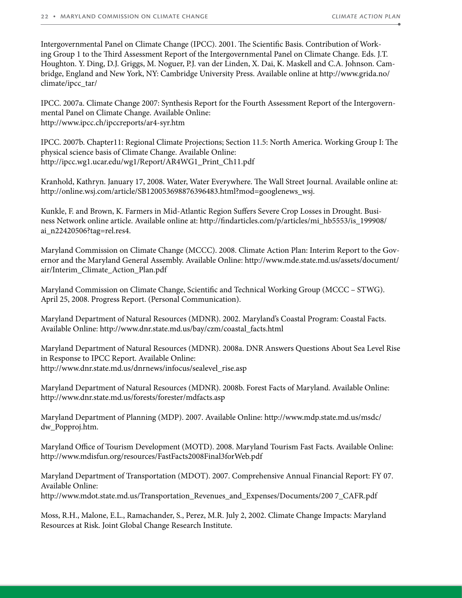Intergovernmental Panel on Climate Change (IPCC). 2001. The Scientific Basis. Contribution of Working Group 1 to the Third Assessment Report of the Intergovernmental Panel on Climate Change. Eds. J.T. Houghton. Y. Ding, D.J. Griggs, M. Noguer, P.J. van der Linden, X. Dai, K. Maskell and C.A. Johnson. Cambridge, England and New York, NY: Cambridge University Press. Available online at http://www.grida.no/ climate/ipcc\_tar/

IPCC. 2007a. Climate Change 2007: Synthesis Report for the Fourth Assessment Report of the Intergovernmental Panel on Climate Change. Available Online: http://www.ipcc.ch/ipccreports/ar4-syr.htm

IPCC. 2007b. Chapter11: Regional Climate Projections; Section 11.5: North America. Working Group I: The physical science basis of Climate Change. Available Online: http://ipcc.wg1.ucar.edu/wg1/Report/AR4WG1\_Print\_Ch11.pdf

Kranhold, Kathryn. January 17, 2008. Water, Water Everywhere. The Wall Street Journal. Available online at: http://online.wsj.com/article/SB120053698876396483.html?mod=googlenews\_wsj.

Kunkle, F. and Brown, K. Farmers in Mid-Atlantic Region Suffers Severe Crop Losses in Drought. Business Network online article. Available online at: http://findarticles.com/p/articles/mi\_hb5553/is\_199908/ ai\_n22420506?tag=rel.res4.

Maryland Commission on Climate Change (MCCC). 2008. Climate Action Plan: Interim Report to the Governor and the Maryland General Assembly. Available Online: http://www.mde.state.md.us/assets/document/ air/Interim\_Climate\_Action\_Plan.pdf

Maryland Commission on Climate Change, Scientific and Technical Working Group (MCCC – STWG). April 25, 2008. Progress Report. (Personal Communication).

Maryland Department of Natural Resources (MDNR). 2002. Maryland's Coastal Program: Coastal Facts. Available Online: http://www.dnr.state.md.us/bay/czm/coastal\_facts.html

Maryland Department of Natural Resources (MDNR). 2008a. DNR Answers Questions About Sea Level Rise in Response to IPCC Report. Available Online: http://www.dnr.state.md.us/dnrnews/infocus/sealevel\_rise.asp

Maryland Department of Natural Resources (MDNR). 2008b. Forest Facts of Maryland. Available Online: http://www.dnr.state.md.us/forests/forester/mdfacts.asp

Maryland Department of Planning (MDP). 2007. Available Online: http://www.mdp.state.md.us/msdc/ dw\_Popproj.htm.

Maryland Office of Tourism Development (MOTD). 2008. Maryland Tourism Fast Facts. Available Online: http://www.mdisfun.org/resources/FastFacts2008Final3forWeb.pdf

Maryland Department of Transportation (MDOT). 2007. Comprehensive Annual Financial Report: FY 07. Available Online:

http://www.mdot.state.md.us/Transportation\_Revenues\_and\_Expenses/Documents/200 7\_CAFR.pdf

Moss, R.H., Malone, E.L., Ramachander, S., Perez, M.R. July 2, 2002. Climate Change Impacts: Maryland Resources at Risk. Joint Global Change Research Institute.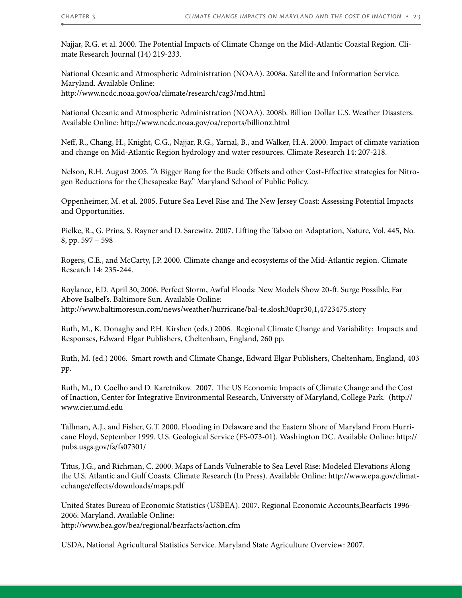Najjar, R.G. et al. 2000. The Potential Impacts of Climate Change on the Mid-Atlantic Coastal Region. Climate Research Journal (14) 219-233.

National Oceanic and Atmospheric Administration (NOAA). 2008a. Satellite and Information Service. Maryland. Available Online: http://www.ncdc.noaa.gov/oa/climate/research/cag3/md.html

National Oceanic and Atmospheric Administration (NOAA). 2008b. Billion Dollar U.S. Weather Disasters. Available Online: http://www.ncdc.noaa.gov/oa/reports/billionz.html

Neff, R., Chang, H., Knight, C.G., Najjar, R.G., Yarnal, B., and Walker, H.A. 2000. Impact of climate variation and change on Mid-Atlantic Region hydrology and water resources. Climate Research 14: 207-218.

Nelson, R.H. August 2005. "A Bigger Bang for the Buck: Offsets and other Cost-Effective strategies for Nitrogen Reductions for the Chesapeake Bay." Maryland School of Public Policy.

Oppenheimer, M. et al. 2005. Future Sea Level Rise and The New Jersey Coast: Assessing Potential Impacts and Opportunities.

Pielke, R., G. Prins, S. Rayner and D. Sarewitz. 2007. Lifting the Taboo on Adaptation, Nature, Vol. 445, No. 8, pp. 597 – 598

Rogers, C.E., and McCarty, J.P. 2000. Climate change and ecosystems of the Mid-Atlantic region. Climate Research 14: 235-244.

Roylance, F.D. April 30, 2006. Perfect Storm, Awful Floods: New Models Show 20-ft. Surge Possible, Far Above Isalbel's. Baltimore Sun. Available Online: http://www.baltimoresun.com/news/weather/hurricane/bal-te.slosh30apr30,1,4723475.story

Ruth, M., K. Donaghy and P.H. Kirshen (eds.) 2006. Regional Climate Change and Variability: Impacts and Responses, Edward Elgar Publishers, Cheltenham, England, 260 pp.

Ruth, M. (ed.) 2006. Smart rowth and Climate Change, Edward Elgar Publishers, Cheltenham, England, 403 pp.

Ruth, M., D. Coelho and D. Karetnikov. 2007. The US Economic Impacts of Climate Change and the Cost of Inaction, Center for Integrative Environmental Research, University of Maryland, College Park. (http:// www.cier.umd.edu

Tallman, A.J., and Fisher, G.T. 2000. Flooding in Delaware and the Eastern Shore of Maryland From Hurricane Floyd, September 1999. U.S. Geological Service (FS-073-01). Washington DC. Available Online: http:// pubs.usgs.gov/fs/fs07301/

Titus, J.G., and Richman, C. 2000. Maps of Lands Vulnerable to Sea Level Rise: Modeled Elevations Along the U.S. Atlantic and Gulf Coasts. Climate Research (In Press). Available Online: http://www.epa.gov/climatechange/effects/downloads/maps.pdf

United States Bureau of Economic Statistics (USBEA). 2007. Regional Economic Accounts,Bearfacts 1996- 2006: Maryland. Available Online: http://www.bea.gov/bea/regional/bearfacts/action.cfm

USDA, National Agricultural Statistics Service. Maryland State Agriculture Overview: 2007.